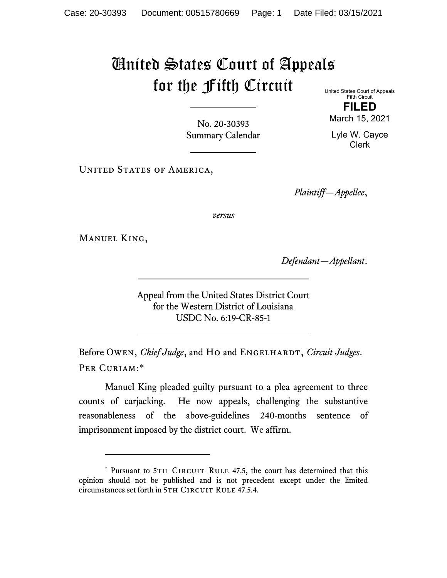## United States Court of Appeals for the Fifth Circuit

United States Court of Appeals Fifth Circuit **FILED**

March 15, 2021

Lyle W. Cayce Clerk

No. 20-30393 Summary Calendar

UNITED STATES OF AMERICA,

*Plaintiff—Appellee*,

*versus*

Manuel King,

*Defendant—Appellant*.

Appeal from the United States District Court for the Western District of Louisiana USDC No. 6:19-CR-85-1

Before Owen, *Chief Judge*, and Ho and ENGELHARDT, *Circuit Judges*. Per Curiam:[\\*](#page-0-0)

Manuel King pleaded guilty pursuant to a plea agreement to three counts of carjacking. He now appeals, challenging the substantive reasonableness of the above-guidelines 240-months sentence of imprisonment imposed by the district court. We affirm.

<span id="page-0-0"></span><sup>\*</sup> Pursuant to 5TH CIRCUIT RULE 47.5, the court has determined that this opinion should not be published and is not precedent except under the limited circumstances set forth in 5TH CIRCUIT RULE 47.5.4.